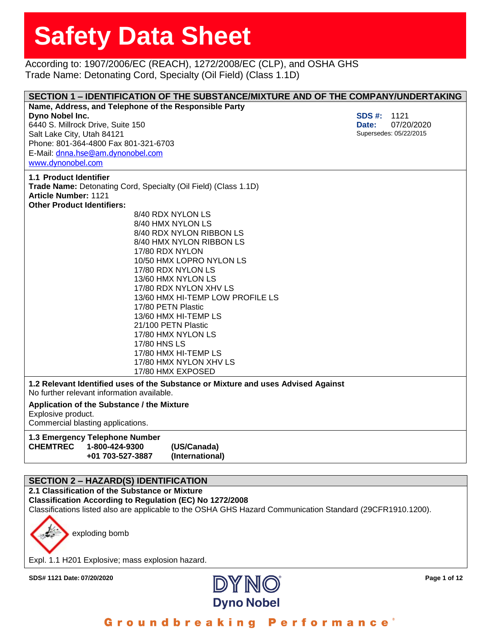According to: 1907/2006/EC (REACH), 1272/2008/EC (CLP), and OSHA GHS Trade Name: Detonating Cord, Specialty (Oil Field) (Class 1.1D)

|                                                                                   |                                  | SECTION 1 - IDENTIFICATION OF THE SUBSTANCE/MIXTURE AND OF THE COMPANY/UNDERTAKING |
|-----------------------------------------------------------------------------------|----------------------------------|------------------------------------------------------------------------------------|
| Name, Address, and Telephone of the Responsible Party                             |                                  |                                                                                    |
| Dyno Nobel Inc.                                                                   |                                  | <b>SDS #:</b><br>1121                                                              |
| 6440 S. Millrock Drive, Suite 150                                                 |                                  | 07/20/2020<br>Date:                                                                |
| Salt Lake City, Utah 84121                                                        |                                  | Supersedes: 05/22/2015                                                             |
| Phone: 801-364-4800 Fax 801-321-6703                                              |                                  |                                                                                    |
| E-Mail: dnna.hse@am.dynonobel.com                                                 |                                  |                                                                                    |
| www.dynonobel.com                                                                 |                                  |                                                                                    |
| 1.1 Product Identifier                                                            |                                  |                                                                                    |
| Trade Name: Detonating Cord, Specialty (Oil Field) (Class 1.1D)                   |                                  |                                                                                    |
| <b>Article Number: 1121</b>                                                       |                                  |                                                                                    |
| <b>Other Product Identifiers:</b>                                                 |                                  |                                                                                    |
|                                                                                   | 8/40 RDX NYLON LS                |                                                                                    |
|                                                                                   | 8/40 HMX NYLON LS                |                                                                                    |
|                                                                                   | 8/40 RDX NYLON RIBBON LS         |                                                                                    |
|                                                                                   | 8/40 HMX NYLON RIBBON LS         |                                                                                    |
|                                                                                   | 17/80 RDX NYLON                  |                                                                                    |
|                                                                                   | 10/50 HMX LOPRO NYLON LS         |                                                                                    |
|                                                                                   | 17/80 RDX NYLON LS               |                                                                                    |
|                                                                                   | 13/60 HMX NYLON LS               |                                                                                    |
|                                                                                   | 17/80 RDX NYLON XHV LS           |                                                                                    |
|                                                                                   | 13/60 HMX HI-TEMP LOW PROFILE LS |                                                                                    |
|                                                                                   | 17/80 PETN Plastic               |                                                                                    |
|                                                                                   | 13/60 HMX HI-TEMP LS             |                                                                                    |
|                                                                                   | 21/100 PETN Plastic              |                                                                                    |
|                                                                                   | 17/80 HMX NYLON LS               |                                                                                    |
| 17/80 HNS LS                                                                      |                                  |                                                                                    |
|                                                                                   | 17/80 HMX HI-TEMP LS             |                                                                                    |
|                                                                                   | 17/80 HMX NYLON XHV LS           |                                                                                    |
|                                                                                   | 17/80 HMX EXPOSED                |                                                                                    |
| 1.2 Relevant Identified uses of the Substance or Mixture and uses Advised Against |                                  |                                                                                    |
| No further relevant information available.                                        |                                  |                                                                                    |
| Application of the Substance / the Mixture                                        |                                  |                                                                                    |
| Explosive product.                                                                |                                  |                                                                                    |
| Commercial blasting applications.                                                 |                                  |                                                                                    |
| 1.3 Emergency Telephone Number                                                    |                                  |                                                                                    |
| <b>CHEMTREC</b><br>1-800-424-9300                                                 | (US/Canada)                      |                                                                                    |
| +01 703-527-3887                                                                  | (International)                  |                                                                                    |
|                                                                                   |                                  |                                                                                    |

### **SECTION 2 – HAZARD(S) IDENTIFICATION**

**2.1 Classification of the Substance or Mixture Classification According to Regulation (EC) No 1272/2008** Classifications listed also are applicable to the OSHA GHS Hazard Communication Standard (29CFR1910.1200).

exploding bomb

Expl. 1.1 H201 Explosive; mass explosion hazard.

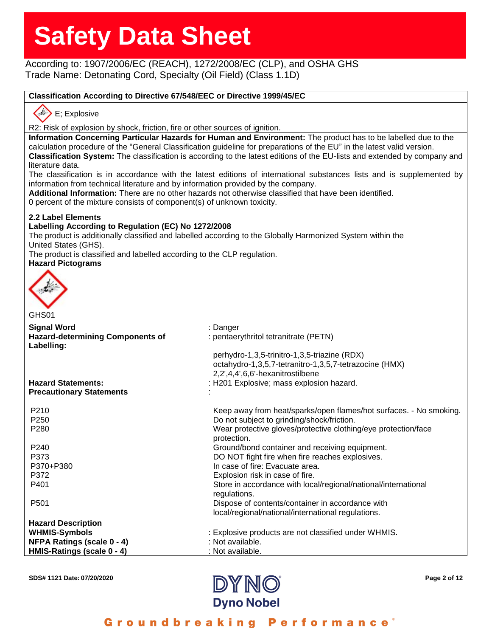### According to: 1907/2006/EC (REACH), 1272/2008/EC (CLP), and OSHA GHS Trade Name: Detonating Cord, Specialty (Oil Field) (Class 1.1D)

### **Classification According to Directive 67/548/EEC or Directive 1999/45/EC**

### E; Explosive

R2: Risk of explosion by shock, friction, fire or other sources of ignition.

**Information Concerning Particular Hazards for Human and Environment:** The product has to be labelled due to the calculation procedure of the "General Classification guideline for preparations of the EU" in the latest valid version. **Classification System:** The classification is according to the latest editions of the EU-lists and extended by company and literature data.

The classification is in accordance with the latest editions of international substances lists and is supplemented by information from technical literature and by information provided by the company.

**Additional Information:** There are no other hazards not otherwise classified that have been identified.

0 percent of the mixture consists of component(s) of unknown toxicity.

### **2.2 Label Elements**

### **Labelling According to Regulation (EC) No 1272/2008**

The product is additionally classified and labelled according to the Globally Harmonized System within the United States (GHS).

The product is classified and labelled according to the CLP regulation.

### **Hazard Pictograms**



| <b>Signal Word</b><br>: Danger                                                                 |  |
|------------------------------------------------------------------------------------------------|--|
|                                                                                                |  |
| <b>Hazard-determining Components of</b><br>: pentaerythritol tetranitrate (PETN)<br>Labelling: |  |
| perhydro-1,3,5-trinitro-1,3,5-triazine (RDX)                                                   |  |
| octahydro-1,3,5,7-tetranitro-1,3,5,7-tetrazocine (HMX)                                         |  |
| 2,2',4,4',6,6'-hexanitrostilbene                                                               |  |
| <b>Hazard Statements:</b><br>: H201 Explosive; mass explosion hazard.                          |  |
| <b>Precautionary Statements</b>                                                                |  |
| P210<br>Keep away from heat/sparks/open flames/hot surfaces. - No smoking.                     |  |
| Do not subject to grinding/shock/friction.<br>P <sub>250</sub>                                 |  |
| P <sub>280</sub><br>Wear protective gloves/protective clothing/eye protection/face             |  |
| protection.                                                                                    |  |
| P240<br>Ground/bond container and receiving equipment.                                         |  |
| DO NOT fight fire when fire reaches explosives.<br>P373                                        |  |
| In case of fire: Evacuate area.<br>P370+P380                                                   |  |
| P372<br>Explosion risk in case of fire.                                                        |  |
| P401<br>Store in accordance with local/regional/national/international                         |  |
| regulations.                                                                                   |  |
| Dispose of contents/container in accordance with<br>P <sub>501</sub>                           |  |
| local/regional/national/international regulations.                                             |  |
| <b>Hazard Description</b>                                                                      |  |
| <b>WHMIS-Symbols</b><br>: Explosive products are not classified under WHMIS.                   |  |
| NFPA Ratings (scale 0 - 4)<br>: Not available.                                                 |  |
| HMIS-Ratings (scale 0 - 4)<br>: Not available.                                                 |  |

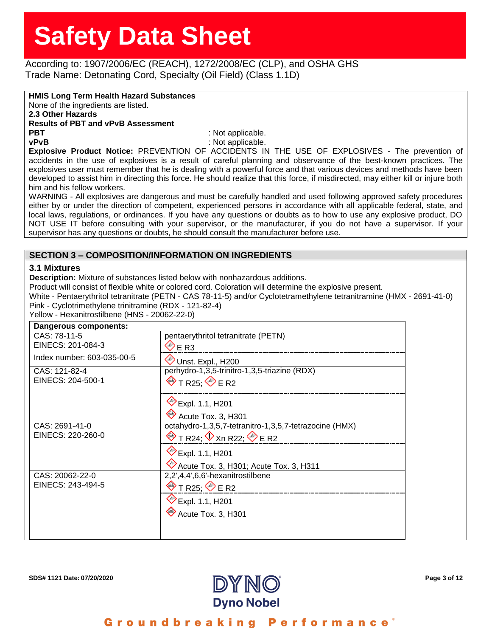According to: 1907/2006/EC (REACH), 1272/2008/EC (CLP), and OSHA GHS Trade Name: Detonating Cord, Specialty (Oil Field) (Class 1.1D)

**HMIS Long Term Health Hazard Substances**

None of the ingredients are listed.

**2.3 Other Hazards**

**Results of PBT and vPvB Assessment**

**PBT** : Not applicable. **vPvB** : Not applicable.

**Explosive Product Notice:** PREVENTION OF ACCIDENTS IN THE USE OF EXPLOSIVES - The prevention of accidents in the use of explosives is a result of careful planning and observance of the best-known practices. The explosives user must remember that he is dealing with a powerful force and that various devices and methods have been developed to assist him in directing this force. He should realize that this force, if misdirected, may either kill or injure both him and his fellow workers.

WARNING - All explosives are dangerous and must be carefully handled and used following approved safety procedures either by or under the direction of competent, experienced persons in accordance with all applicable federal, state, and local laws, regulations, or ordinances. If you have any questions or doubts as to how to use any explosive product, DO NOT USE IT before consulting with your supervisor, or the manufacturer, if you do not have a supervisor. If your supervisor has any questions or doubts, he should consult the manufacturer before use.

### **SECTION 3 – COMPOSITION/INFORMATION ON INGREDIENTS**

### **3.1 Mixtures**

**Description:** Mixture of substances listed below with nonhazardous additions.

Product will consist of flexible white or colored cord. Coloration will determine the explosive present.

White - Pentaerythritol tetranitrate (PETN - CAS 78-11-5) and/or Cyclotetramethylene tetranitramine (HMX - 2691-41-0) Pink - Cyclotrimethylene trinitramine (RDX - 121-82-4)

Yellow - Hexanitrostilbene (HNS - 20062-22-0)

| Dangerous components:      |                                                        |  |
|----------------------------|--------------------------------------------------------|--|
| CAS: 78-11-5               | pentaerythritol tetranitrate (PETN)                    |  |
| EINECS: 201-084-3          | $\heartsuit$ E R3                                      |  |
| Index number: 603-035-00-5 | Unst. Expl., H200                                      |  |
| CAS: 121-82-4              | perhydro-1,3,5-trinitro-1,3,5-triazine (RDX)           |  |
| EINECS: 204-500-1          | $\diamond$ T R25 $\diamond$ E R2                       |  |
|                            | <b>Expl. 1.1, H201</b>                                 |  |
|                            | Acute Tox. 3, H301                                     |  |
| CAS: 2691-41-0             | octahydro-1,3,5,7-tetranitro-1,3,5,7-tetrazocine (HMX) |  |
| EINECS: 220-260-0          | $\otimes$ T R24; $\otimes$ Xn R22; $\otimes$ E R2      |  |
|                            | <b><del></del></b> Expl. 1.1, H201                     |  |
|                            | $\bullet$ Acute Tox. 3, H301; Acute Tox. 3, H311       |  |
| CAS: 20062-22-0            | 2,2',4,4',6,6'-hexanitrostilbene                       |  |
| EINECS: 243-494-5          | $\diamond$ T R25 $\diamond$ E R2                       |  |
|                            | Expl. 1.1, H <sub>201</sub>                            |  |
|                            | $\otimes$ Acute Tox. 3, H301                           |  |
|                            |                                                        |  |

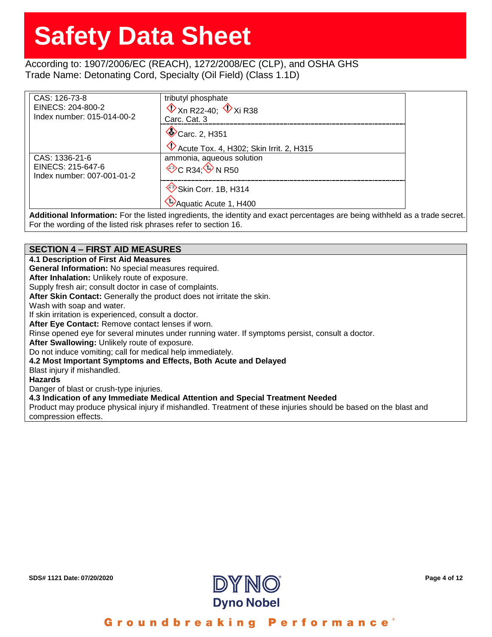### According to: 1907/2006/EC (REACH), 1272/2008/EC (CLP), and OSHA GHS Trade Name: Detonating Cord, Specialty (Oil Field) (Class 1.1D)

| CAS: 126-73-8                                   | tributyl phosphate                                                                                                         |
|-------------------------------------------------|----------------------------------------------------------------------------------------------------------------------------|
| EINECS: 204-800-2<br>Index number: 015-014-00-2 | $\mathbb{Q}$ Xn R22-40; $\mathbb{Q}$ Xi R38                                                                                |
|                                                 | Carc, Cat. 3                                                                                                               |
|                                                 | Carc. 2, H351                                                                                                              |
|                                                 | Acute Tox. 4, H302; Skin Irrit. 2, H315                                                                                    |
| CAS: 1336-21-6                                  | ammonia, agueous solution                                                                                                  |
| EINECS: 215-647-6<br>Index number: 007-001-01-2 | $\Diamond$ C R34 $\Diamond$ N R50                                                                                          |
|                                                 | Skin Corr. 1B, H314                                                                                                        |
|                                                 |                                                                                                                            |
|                                                 | Aquatic Acute 1, H400                                                                                                      |
|                                                 | Additional Information: For the listed ingredients the identity and exact perceptages are being withheld as a trade secret |

**Additional Information:** For the listed ingredients, the identity and exact percentages are being withheld as a trade secret. For the wording of the listed risk phrases refer to section 16.

### **SECTION 4 – FIRST AID MEASURES**

**4.1 Description of First Aid Measures**

**General Information:** No special measures required.

**After Inhalation:** Unlikely route of exposure.

Supply fresh air; consult doctor in case of complaints.

**After Skin Contact:** Generally the product does not irritate the skin.

Wash with soap and water.

If skin irritation is experienced, consult a doctor.

**After Eye Contact:** Remove contact lenses if worn.

Rinse opened eye for several minutes under running water. If symptoms persist, consult a doctor.

**After Swallowing:** Unlikely route of exposure.

Do not induce vomiting; call for medical help immediately.

#### **4.2 Most Important Symptoms and Effects, Both Acute and Delayed**

Blast injury if mishandled.

### **Hazards**

Danger of blast or crush-type injuries.

#### **4.3 Indication of any Immediate Medical Attention and Special Treatment Needed**

Product may produce physical injury if mishandled. Treatment of these injuries should be based on the blast and compression effects.



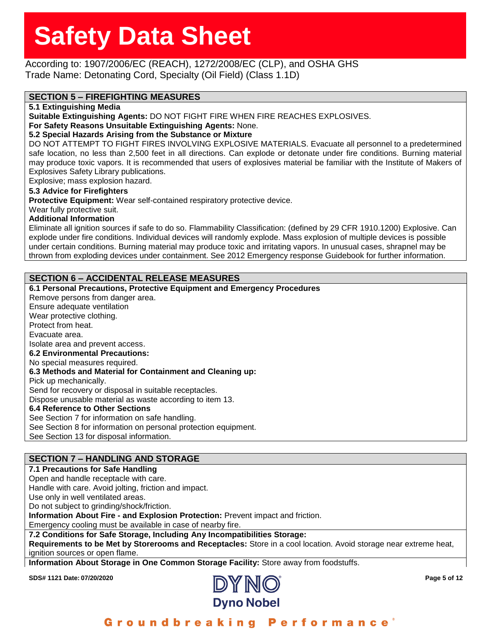### According to: 1907/2006/EC (REACH), 1272/2008/EC (CLP), and OSHA GHS Trade Name: Detonating Cord, Specialty (Oil Field) (Class 1.1D)

### **SECTION 5 – FIREFIGHTING MEASURES**

**5.1 Extinguishing Media**

**Suitable Extinguishing Agents:** DO NOT FIGHT FIRE WHEN FIRE REACHES EXPLOSIVES.

**For Safety Reasons Unsuitable Extinguishing Agents:** None.

### **5.2 Special Hazards Arising from the Substance or Mixture**

DO NOT ATTEMPT TO FIGHT FIRES INVOLVING EXPLOSIVE MATERIALS. Evacuate all personnel to a predetermined safe location, no less than 2,500 feet in all directions. Can explode or detonate under fire conditions. Burning material may produce toxic vapors. It is recommended that users of explosives material be familiar with the Institute of Makers of Explosives Safety Library publications.

Explosive; mass explosion hazard.

### **5.3 Advice for Firefighters**

**Protective Equipment:** Wear self-contained respiratory protective device.

Wear fully protective suit.

#### **Additional Information**

Eliminate all ignition sources if safe to do so. Flammability Classification: (defined by 29 CFR 1910.1200) Explosive. Can explode under fire conditions. Individual devices will randomly explode. Mass explosion of multiple devices is possible under certain conditions. Burning material may produce toxic and irritating vapors. In unusual cases, shrapnel may be thrown from exploding devices under containment. See 2012 Emergency response Guidebook for further information.

### **SECTION 6 – ACCIDENTAL RELEASE MEASURES**

**6.1 Personal Precautions, Protective Equipment and Emergency Procedures** Remove persons from danger area. Ensure adequate ventilation Wear protective clothing. Protect from heat. Evacuate area. Isolate area and prevent access. **6.2 Environmental Precautions:** No special measures required. **6.3 Methods and Material for Containment and Cleaning up:** Pick up mechanically. Send for recovery or disposal in suitable receptacles. Dispose unusable material as waste according to item 13. **6.4 Reference to Other Sections**

See Section 7 for information on safe handling. See Section 8 for information on personal protection equipment. See Section 13 for disposal information.

### **SECTION 7 – HANDLING AND STORAGE**

### **7.1 Precautions for Safe Handling**

Open and handle receptacle with care.

Handle with care. Avoid jolting, friction and impact.

Use only in well ventilated areas.

Do not subject to grinding/shock/friction.

**Information About Fire - and Explosion Protection:** Prevent impact and friction.

Emergency cooling must be available in case of nearby fire.

### **7.2 Conditions for Safe Storage, Including Any Incompatibilities Storage:**

**Requirements to be Met by Storerooms and Receptacles:** Store in a cool location. Avoid storage near extreme heat, ignition sources or open flame.

**Information About Storage in One Common Storage Facility:** Store away from foodstuffs.

**SDS# 1121 Date: 07/20/2020 Page 5 of 12**



Groundbreaking Performance°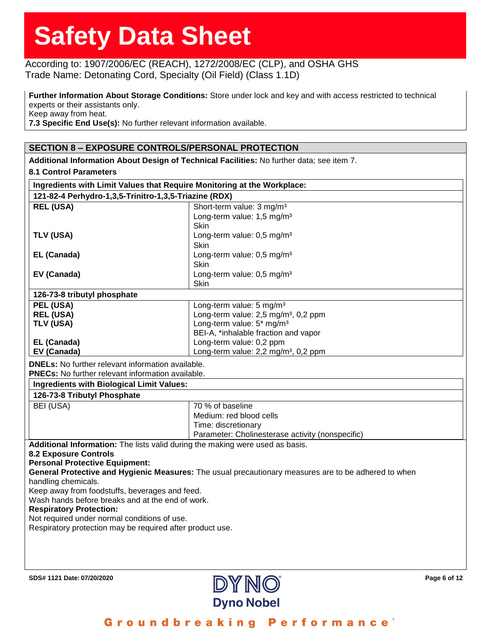### According to: 1907/2006/EC (REACH), 1272/2008/EC (CLP), and OSHA GHS Trade Name: Detonating Cord, Specialty (Oil Field) (Class 1.1D)

**Further Information About Storage Conditions:** Store under lock and key and with access restricted to technical experts or their assistants only. Keep away from heat. **7.3 Specific End Use(s):** No further relevant information available.

### **SECTION 8 – EXPOSURE CONTROLS/PERSONAL PROTECTION**

**Additional Information About Design of Technical Facilities:** No further data; see item 7. **8.1 Control Parameters Ingredients with Limit Values that Require Monitoring at the Workplace: 121-82-4 Perhydro-1,3,5-Trinitro-1,3,5-Triazine (RDX) REL (USA)** Short-term value: 3 mg/m<sup>3</sup> Long-term value: 1,5 mg/m³ Skin **TLV (USA)** Long-term value: 0,5 mg/m<sup>3</sup> Skin **EL (Canada)** Long-term value: 0,5 mg/m<sup>3</sup> Skin **EV (Canada)** Long-term value: 0,5 mg/m<sup>3</sup> Skin **126-73-8 tributyl phosphate PEL (USA)** Long-term value: 5 mg/m<sup>3</sup> **REL (USA) REL (USA) Long-term value: 2,5 mg/m<sup>3</sup>, 0,2 ppm TLV (USA)** Long-term value: 5<sup>\*</sup> mg/m<sup>3</sup> BEI-A, \*inhalable fraction and vapor **EL (Canada)** Long-term value: 0,2 ppm **EV (Canada) EV (Canada) Long-term value: 2,2 mg/m<sup>3</sup>, 0,2 ppm DNELs:** No further relevant information available. **PNECs:** No further relevant information available. **Ingredients with Biological Limit Values: 126-73-8 Tributyl Phosphate** BEI (USA) 70 % of baseline Medium: red blood cells Time: discretionary Parameter: Cholinesterase activity (nonspecific) **Additional Information:** The lists valid during the making were used as basis. **8.2 Exposure Controls Personal Protective Equipment: General Protective and Hygienic Measures:** The usual precautionary measures are to be adhered to when handling chemicals. Keep away from foodstuffs, beverages and feed. Wash hands before breaks and at the end of work. **Respiratory Protection:** Not required under normal conditions of use. Respiratory protection may be required after product use.

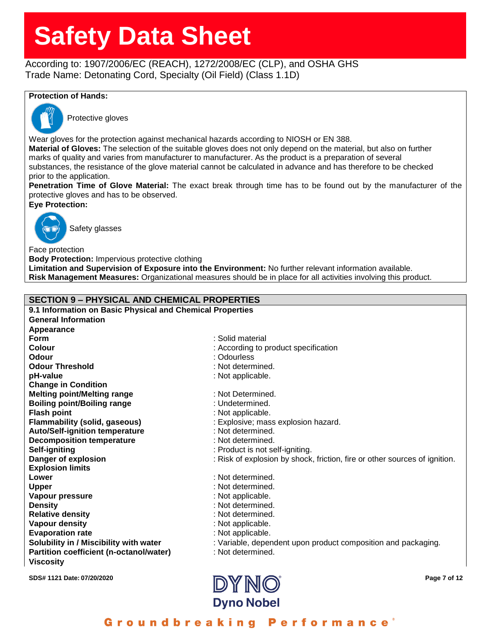According to: 1907/2006/EC (REACH), 1272/2008/EC (CLP), and OSHA GHS Trade Name: Detonating Cord, Specialty (Oil Field) (Class 1.1D)

### **Protection of Hands:**



Protective gloves

Wear gloves for the protection against mechanical hazards according to NIOSH or EN 388.

**Material of Gloves:** The selection of the suitable gloves does not only depend on the material, but also on further marks of quality and varies from manufacturer to manufacturer. As the product is a preparation of several substances, the resistance of the glove material cannot be calculated in advance and has therefore to be checked prior to the application.

**Penetration Time of Glove Material:** The exact break through time has to be found out by the manufacturer of the protective gloves and has to be observed.

**Eye Protection:**



Safety glasses

Face protection **Body Protection:** Impervious protective clothing **Limitation and Supervision of Exposure into the Environment:** No further relevant information available. **Risk Management Measures:** Organizational measures should be in place for all activities involving this product.

### **SECTION 9 – PHYSICAL AND CHEMICAL PROPERTIES**

**9.1 Information on Basic Physical and Chemical Properties General Information Appearance Form** : Solid material : Solid material : Solid material **Odour** : Odourless **Change in Condition Explosion limits Viscosity**

**SDS# 1121 Date: 07/20/2020 Page 7 of 12 Colour Colour Colour :** According to product specification **Odour Threshold** : Not determined. **pH-value** : Not applicable. **Melting point/Melting range** : Not Determined. **Boiling point/Boiling range** : Undetermined. **Flash point**  $\qquad \qquad$  : Not applicable. **Flammability (solid, gaseous)** : Explosive; mass explosion hazard. **Auto/Self-ignition temperature** : Not determined. **Decomposition temperature** : Not determined. **Self-igniting Self-igniting in the self-igniting.** The self-igniting is not self-igniting. **Danger of explosion** : Risk of explosion by shock, friction, fire or other sources of ignition. **Lower** : Not determined. **Upper** : Not determined. **Vapour pressure interval in the set of the set of the SNO** in Not applicable. **Density** : Not determined. **Relative density** : Not determined. **Vapour density value of the COV in the Vapour density :** Not applicable. **Evaporation rate** : Not applicable. **Solubility in / Miscibility with water** : Variable, dependent upon product composition and packaging. **Partition coefficient (n-octanol/water)** : Not determined.

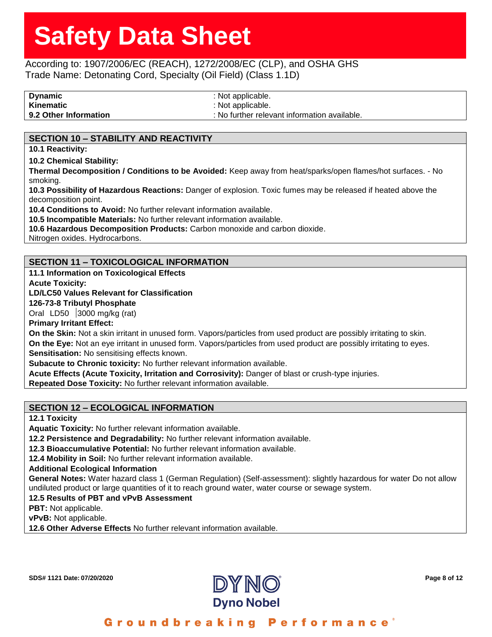### According to: 1907/2006/EC (REACH), 1272/2008/EC (CLP), and OSHA GHS Trade Name: Detonating Cord, Specialty (Oil Field) (Class 1.1D)

**Dynamic** : Not applicable. **Kinematic** : Not applicable. **9.2 Other Information intervalse in the set of the set of the set of the set of the set of the set of the set of the set of the set of the set of the set of the set of the set of the set of the set of the set of the set** 

### **SECTION 10 – STABILITY AND REACTIVITY**

**10.1 Reactivity:**

**10.2 Chemical Stability:**

**Thermal Decomposition / Conditions to be Avoided:** Keep away from heat/sparks/open flames/hot surfaces. - No smoking.

**10.3 Possibility of Hazardous Reactions:** Danger of explosion. Toxic fumes may be released if heated above the decomposition point.

**10.4 Conditions to Avoid:** No further relevant information available.

**10.5 Incompatible Materials:** No further relevant information available.

**10.6 Hazardous Decomposition Products:** Carbon monoxide and carbon dioxide.

Nitrogen oxides. Hydrocarbons.

### **SECTION 11 – TOXICOLOGICAL INFORMATION**

**11.1 Information on Toxicological Effects**

**Acute Toxicity:**

#### **LD/LC50 Values Relevant for Classification**

**126-73-8 Tributyl Phosphate**

Oral LD50 3000 mg/kg (rat)

**Primary Irritant Effect:**

**On the Skin:** Not a skin irritant in unused form. Vapors/particles from used product are possibly irritating to skin. **On the Eye:** Not an eye irritant in unused form. Vapors/particles from used product are possibly irritating to eyes.

**Sensitisation:** No sensitising effects known.

**Subacute to Chronic toxicity:** No further relevant information available.

**Acute Effects (Acute Toxicity, Irritation and Corrosivity):** Danger of blast or crush-type injuries.

**Repeated Dose Toxicity:** No further relevant information available.

### **SECTION 12 – ECOLOGICAL INFORMATION**

**12.1 Toxicity**

**Aquatic Toxicity:** No further relevant information available.

**12.2 Persistence and Degradability:** No further relevant information available.

**12.3 Bioaccumulative Potential:** No further relevant information available.

**12.4 Mobility in Soil:** No further relevant information available.

**Additional Ecological Information**

**General Notes:** Water hazard class 1 (German Regulation) (Self-assessment): slightly hazardous for water Do not allow undiluted product or large quantities of it to reach ground water, water course or sewage system.

**12.5 Results of PBT and vPvB Assessment**

**PBT:** Not applicable.

**vPvB:** Not applicable.

**12.6 Other Adverse Effects** No further relevant information available.

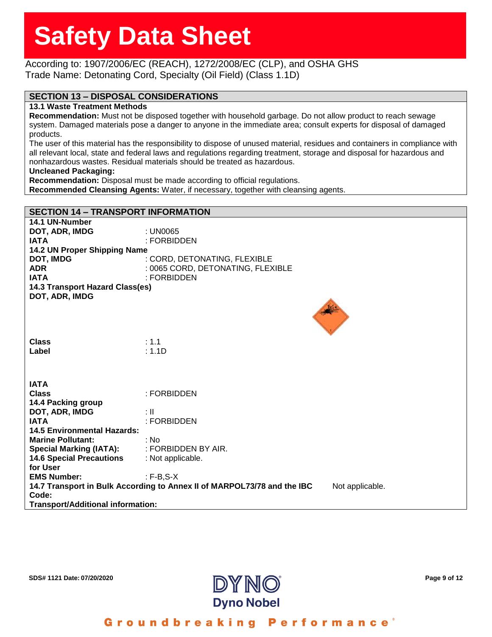### According to: 1907/2006/EC (REACH), 1272/2008/EC (CLP), and OSHA GHS Trade Name: Detonating Cord, Specialty (Oil Field) (Class 1.1D)

### **SECTION 13 – DISPOSAL CONSIDERATIONS**

#### **13.1 Waste Treatment Methods**

**Recommendation:** Must not be disposed together with household garbage. Do not allow product to reach sewage system. Damaged materials pose a danger to anyone in the immediate area; consult experts for disposal of damaged products.

The user of this material has the responsibility to dispose of unused material, residues and containers in compliance with all relevant local, state and federal laws and regulations regarding treatment, storage and disposal for hazardous and nonhazardous wastes. Residual materials should be treated as hazardous.

#### **Uncleaned Packaging:**

**Recommendation:** Disposal must be made according to official regulations.

**Recommended Cleansing Agents:** Water, if necessary, together with cleansing agents.

### **SECTION 14 – TRANSPORT INFORMATION**

| 14.1 UN-Number                           |                                                                                            |
|------------------------------------------|--------------------------------------------------------------------------------------------|
| DOT, ADR, IMDG                           | : UN0065                                                                                   |
| <b>IATA</b>                              | : FORBIDDEN                                                                                |
| 14.2 UN Proper Shipping Name             |                                                                                            |
| <b>DOT, IMDG</b>                         | : CORD, DETONATING, FLEXIBLE                                                               |
|                                          |                                                                                            |
| <b>ADR</b>                               | : 0065 CORD, DETONATING, FLEXIBLE                                                          |
| <b>IATA</b>                              | : FORBIDDEN                                                                                |
| 14.3 Transport Hazard Class(es)          |                                                                                            |
| DOT, ADR, IMDG                           |                                                                                            |
|                                          |                                                                                            |
|                                          |                                                                                            |
|                                          |                                                                                            |
|                                          |                                                                                            |
| <b>Class</b>                             | : 1.1                                                                                      |
|                                          |                                                                                            |
| Label                                    | : 1.1D                                                                                     |
|                                          |                                                                                            |
|                                          |                                                                                            |
|                                          |                                                                                            |
| <b>IATA</b>                              |                                                                                            |
| <b>Class</b>                             | : FORBIDDEN                                                                                |
| 14.4 Packing group                       |                                                                                            |
| DOT, ADR, IMDG                           | : II                                                                                       |
| <b>IATA</b>                              | : FORBIDDEN                                                                                |
| <b>14.5 Environmental Hazards:</b>       |                                                                                            |
| <b>Marine Pollutant:</b>                 | : No                                                                                       |
| <b>Special Marking (IATA):</b>           | : FORBIDDEN BY AIR.                                                                        |
|                                          |                                                                                            |
| <b>14.6 Special Precautions</b>          | : Not applicable.                                                                          |
| for User                                 |                                                                                            |
| <b>EMS Number:</b>                       | $: F-B, S-X$                                                                               |
|                                          | 14.7 Transport in Bulk According to Annex II of MARPOL73/78 and the IBC<br>Not applicable. |
| Code:                                    |                                                                                            |
| <b>Transport/Additional information:</b> |                                                                                            |
|                                          |                                                                                            |

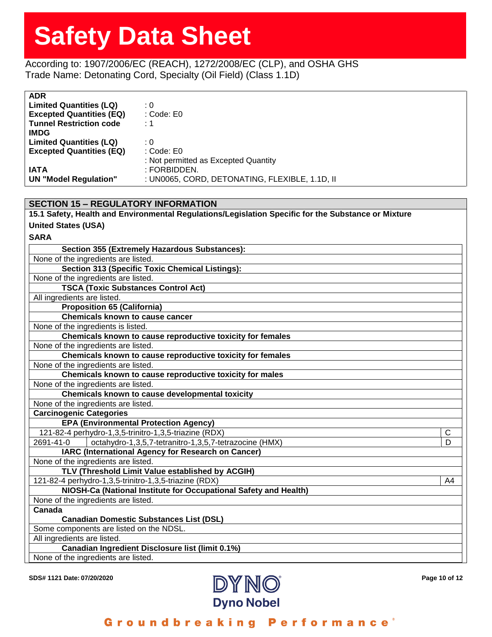According to: 1907/2006/EC (REACH), 1272/2008/EC (CLP), and OSHA GHS Trade Name: Detonating Cord, Specialty (Oil Field) (Class 1.1D)

| <b>ADR</b>                      |                                                |
|---------------------------------|------------------------------------------------|
| <b>Limited Quantities (LQ)</b>  | : 0                                            |
| <b>Excepted Quantities (EQ)</b> | : Code: E0                                     |
| <b>Tunnel Restriction code</b>  | $\cdot$ 1                                      |
| <b>IMDG</b>                     |                                                |
| <b>Limited Quantities (LQ)</b>  | : 0                                            |
| <b>Excepted Quantities (EQ)</b> | : Code: E0                                     |
|                                 | : Not permitted as Excepted Quantity           |
| <b>IATA</b>                     | : FORBIDDEN.                                   |
| <b>UN</b> "Model Regulation"    | : UN0065, CORD, DETONATING, FLEXIBLE, 1.1D, II |

| <b>SECTION 15 - REGULATORY INFORMATION</b>                                                          |    |
|-----------------------------------------------------------------------------------------------------|----|
| 15.1 Safety, Health and Environmental Regulations/Legislation Specific for the Substance or Mixture |    |
| <b>United States (USA)</b>                                                                          |    |
| <b>SARA</b>                                                                                         |    |
| Section 355 (Extremely Hazardous Substances):                                                       |    |
| None of the ingredients are listed.                                                                 |    |
| Section 313 (Specific Toxic Chemical Listings):                                                     |    |
| None of the ingredients are listed.                                                                 |    |
| <b>TSCA (Toxic Substances Control Act)</b>                                                          |    |
| All ingredients are listed.                                                                         |    |
| <b>Proposition 65 (California)</b>                                                                  |    |
| <b>Chemicals known to cause cancer</b>                                                              |    |
| None of the ingredients is listed.                                                                  |    |
| Chemicals known to cause reproductive toxicity for females                                          |    |
| None of the ingredients are listed.                                                                 |    |
| Chemicals known to cause reproductive toxicity for females                                          |    |
| None of the ingredients are listed.                                                                 |    |
| Chemicals known to cause reproductive toxicity for males                                            |    |
| None of the ingredients are listed.                                                                 |    |
| Chemicals known to cause developmental toxicity                                                     |    |
| None of the ingredients are listed.                                                                 |    |
| <b>Carcinogenic Categories</b>                                                                      |    |
| <b>EPA (Environmental Protection Agency)</b>                                                        |    |
| 121-82-4 perhydro-1,3,5-trinitro-1,3,5-triazine (RDX)                                               | C  |
| octahydro-1,3,5,7-tetranitro-1,3,5,7-tetrazocine (HMX)<br>2691-41-0                                 | D  |
| IARC (International Agency for Research on Cancer)                                                  |    |
| None of the ingredients are listed.                                                                 |    |
| TLV (Threshold Limit Value established by ACGIH)                                                    |    |
| 121-82-4 perhydro-1,3,5-trinitro-1,3,5-triazine (RDX)                                               | A4 |
| NIOSH-Ca (National Institute for Occupational Safety and Health)                                    |    |
| None of the ingredients are listed.                                                                 |    |
| Canada                                                                                              |    |
| <b>Canadian Domestic Substances List (DSL)</b><br>Some components are listed on the NDSL.           |    |
| All ingredients are listed.                                                                         |    |
| Canadian Ingredient Disclosure list (limit 0.1%)                                                    |    |
| None of the ingredients are listed.                                                                 |    |
|                                                                                                     |    |

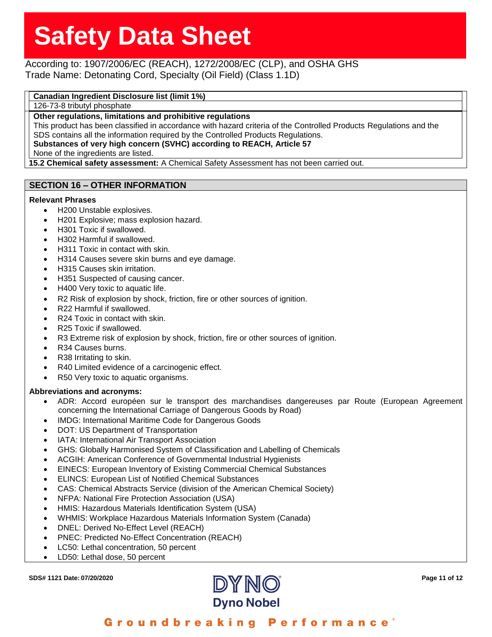### According to: 1907/2006/EC (REACH), 1272/2008/EC (CLP), and OSHA GHS Trade Name: Detonating Cord, Specialty (Oil Field) (Class 1.1D)

### **Canadian Ingredient Disclosure list (limit 1%)**

126-73-8 tributyl phosphate

**Other regulations, limitations and prohibitive regulations**

This product has been classified in accordance with hazard criteria of the Controlled Products Regulations and the SDS contains all the information required by the Controlled Products Regulations.

**Substances of very high concern (SVHC) according to REACH, Article 57**

None of the ingredients are listed.

**15.2 Chemical safety assessment:** A Chemical Safety Assessment has not been carried out.

### **SECTION 16 – OTHER INFORMATION**

### **Relevant Phrases**

- H200 Unstable explosives.
- H201 Explosive; mass explosion hazard.
- H301 Toxic if swallowed.
- H302 Harmful if swallowed.
- H311 Toxic in contact with skin.
- H314 Causes severe skin burns and eye damage.
- H315 Causes skin irritation.
- H351 Suspected of causing cancer.
- H400 Very toxic to aquatic life.
- R2 Risk of explosion by shock, friction, fire or other sources of ignition.
- R22 Harmful if swallowed.
- R24 Toxic in contact with skin.
- R25 Toxic if swallowed.
- R3 Extreme risk of explosion by shock, friction, fire or other sources of ignition.
- R<sub>34</sub> Causes burns.
- R38 Irritating to skin.
- R40 Limited evidence of a carcinogenic effect.
- R50 Very toxic to aquatic organisms.

#### **Abbreviations and acronyms:**

- ADR: Accord européen sur le transport des marchandises dangereuses par Route (European Agreement concerning the International Carriage of Dangerous Goods by Road)
- IMDG: International Maritime Code for Dangerous Goods
- DOT: US Department of Transportation
- IATA: International Air Transport Association
- GHS: Globally Harmonised System of Classification and Labelling of Chemicals
- ACGIH: American Conference of Governmental Industrial Hygienists
- EINECS: European Inventory of Existing Commercial Chemical Substances
- ELINCS: European List of Notified Chemical Substances
- CAS: Chemical Abstracts Service (division of the American Chemical Society)
- NFPA: National Fire Protection Association (USA)
- HMIS: Hazardous Materials Identification System (USA)
- WHMIS: Workplace Hazardous Materials Information System (Canada)
- DNEL: Derived No-Effect Level (REACH)
- PNEC: Predicted No-Effect Concentration (REACH)
- LC50: Lethal concentration, 50 percent
- LD50: Lethal dose, 50 percent



Groundbreaking Performance°